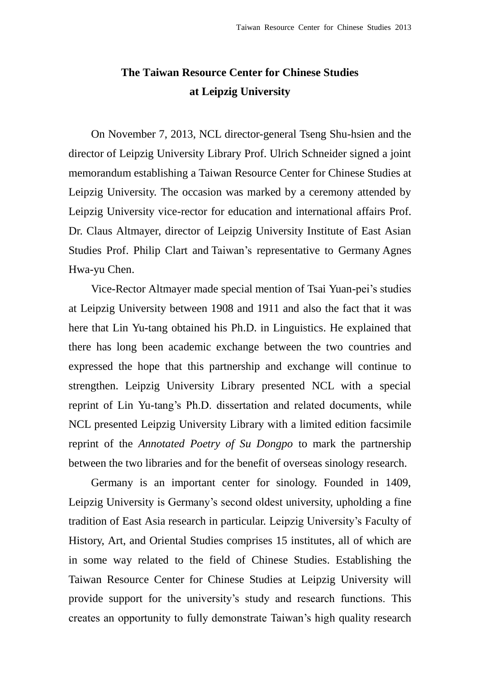## **The Taiwan Resource Center for Chinese Studies at Leipzig University**

On November 7, 2013, NCL director-general Tseng Shu-hsien and the director of Leipzig University Library Prof. Ulrich Schneider signed a joint memorandum establishing a Taiwan Resource Center for Chinese Studies at Leipzig University. The occasion was marked by a ceremony attended by Leipzig University vice-rector for education and international affairs Prof. Dr. Claus Altmayer, director of Leipzig University Institute of East Asian Studies Prof. Philip Clart and Taiwan's representative to Germany Agnes Hwa-yu Chen.

Vice-Rector Altmayer made special mention of Tsai Yuan-pei's studies at Leipzig University between 1908 and 1911 and also the fact that it was here that Lin Yu-tang obtained his Ph.D. in Linguistics. He explained that there has long been academic exchange between the two countries and expressed the hope that this partnership and exchange will continue to strengthen. Leipzig University Library presented NCL with a special reprint of Lin Yu-tang's Ph.D. dissertation and related documents, while NCL presented Leipzig University Library with a limited edition facsimile reprint of the *Annotated Poetry of Su Dongpo* to mark the partnership between the two libraries and for the benefit of overseas sinology research.

Germany is an important center for sinology. Founded in 1409, Leipzig University is Germany's second oldest university, upholding a fine tradition of East Asia research in particular. Leipzig University's Faculty of History, Art, and Oriental Studies comprises 15 institutes, all of which are in some way related to the field of Chinese Studies. Establishing the Taiwan Resource Center for Chinese Studies at Leipzig University will provide support for the university's study and research functions. This creates an opportunity to fully demonstrate Taiwan's high quality research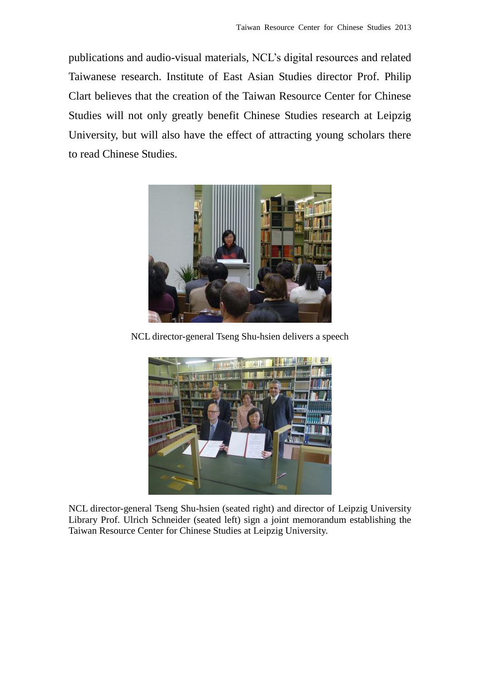publications and audio-visual materials, NCL's digital resources and related Taiwanese research. Institute of East Asian Studies director Prof. Philip Clart believes that the creation of the Taiwan Resource Center for Chinese Studies will not only greatly benefit Chinese Studies research at Leipzig University, but will also have the effect of attracting young scholars there to read Chinese Studies.



NCL director-general Tseng Shu-hsien delivers a speech



NCL director-general Tseng Shu-hsien (seated right) and director of Leipzig University Library Prof. Ulrich Schneider (seated left) sign a joint memorandum establishing the Taiwan Resource Center for Chinese Studies at Leipzig University.